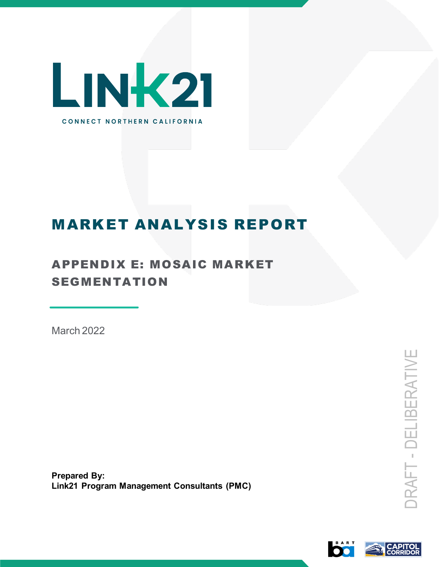

# MARKET ANALYSIS REPORT

## APPENDIX E: MOSAIC MARKET SEGMENTATION

March 2022

**Prepared By: Link21 Program Management Consultants (PMC)**

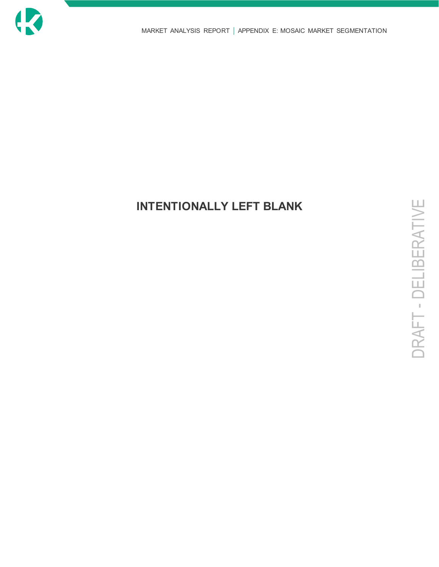

## **INTENTIONALLY LEFT BLANK**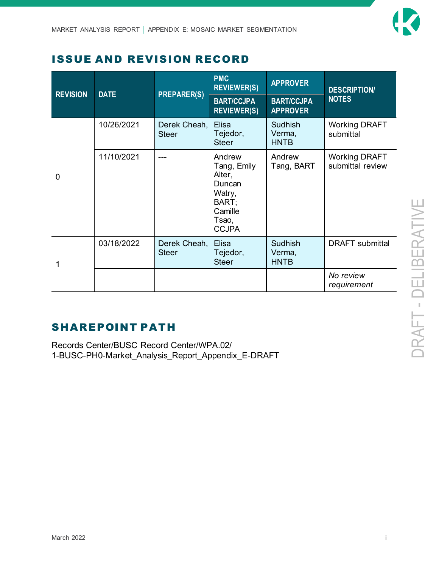### ISSUE AND REVISION RECORD

| <b>REVISION</b> | <b>DATE</b> | <b>PREPARER(S)</b>           | <b>PMC</b><br><b>REVIEWER(S)</b><br><b>BART/CCJPA</b><br><b>REVIEWER(S)</b>                      | <b>APPROVER</b><br><b>BART/CCJPA</b><br><b>APPROVER</b> | <b>DESCRIPTION/</b><br><b>NOTES</b>      |
|-----------------|-------------|------------------------------|--------------------------------------------------------------------------------------------------|---------------------------------------------------------|------------------------------------------|
|                 | 10/26/2021  | Derek Cheah,<br><b>Steer</b> | <b>Elisa</b><br>Tejedor,<br><b>Steer</b>                                                         | <b>Sudhish</b><br>Verma,<br><b>HNTB</b>                 | <b>Working DRAFT</b><br>submittal        |
| $\mathbf 0$     | 11/10/2021  |                              | Andrew<br>Tang, Emily<br>Alter,<br>Duncan<br>Watry,<br>BART;<br>Camille<br>Tsao,<br><b>CCJPA</b> | Andrew<br>Tang, BART                                    | <b>Working DRAFT</b><br>submittal review |
|                 | 03/18/2022  | Derek Cheah,<br><b>Steer</b> | Elisa<br>Tejedor,<br><b>Steer</b>                                                                | Sudhish<br>Verma,<br><b>HNTB</b>                        | <b>DRAFT</b> submittal                   |
|                 |             |                              |                                                                                                  |                                                         | No review<br>requirement                 |

## SHAREPOINT PATH

Records Center/BUSC Record Center/WPA.02/ 1-BUSC-PH0-Market\_Analysis\_Report\_Appendix\_E-DRAFT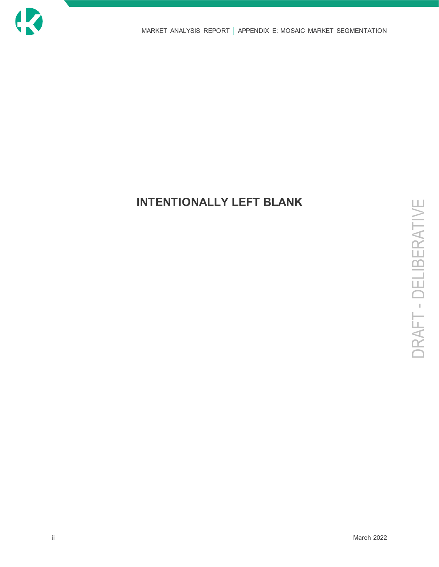

## **INTENTIONALLY LEFT BLANK**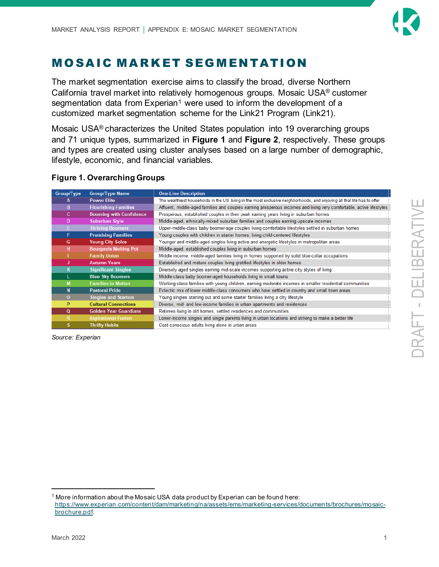

## MOSAIC MARKET SEGMENTATION

The market segmentation exercise aims to classify the broad, diverse Northern California travel market into relatively homogenous groups. Mosaic USA® customer segmentation data from Experian<sup>[1](#page-4-1)</sup> were used to inform the development of a customized market segmentation scheme for the Link21 Program (Link21).

Mosaic USA® characterizes the United States population into 19 overarching groups and 71 unique types, summarized in **[Figure 1](#page-4-0)** and **[Figure 2](#page-5-0)**, respectively. These groups and types are created using cluster analyses based on a large number of demographic, lifestyle, economic, and financial variables.

#### <span id="page-4-0"></span>**Figure 1. Overarching Groups**

| Group/Type   | <b>Group/Type Name</b>         | <b>One-Line Description</b>                                                                                              |
|--------------|--------------------------------|--------------------------------------------------------------------------------------------------------------------------|
|              | <b>Power Elite</b>             | The wealthiest households in the US, living in the most exclusive neighborhoods, and enjoying all that life has to offer |
| B.           | <b>Flourishing Families</b>    | Affluent, middle-aged families and couples earning prosperous incomes and living very comfortable, active lifestyles     |
| c.           | <b>Booming with Confidence</b> | Prosperous, established couples in their peak earning years living in suburban homes                                     |
| D            | Suburban Style                 | Middle-aged, ethnically-mixed suburban families and couples earning upscale incomes                                      |
| E.           | <b>Thriving Boomers</b>        | Upper-middle-class baby boomer-age couples living comfortable lifestyles settled in suburban homes                       |
| F            | <b>Promising Families</b>      | Young couples with children in starter homes, living child-centered lifestyles                                           |
| G            | <b>Young City Solos</b>        | Younger and middle-aged singles living active and energetic lifestyles in metropolitan areas                             |
| н            | <b>Bourgeois Melting Pot</b>   | Middle-aged, established couples living in suburban homes                                                                |
|              | <b>Family Union</b>            | Middle income, middle-aged families living in homes supported by solid blue-collar occupations                           |
| u            | <b>Autumn Years</b>            | Established and mature couples living gratified lifestyles in older homes                                                |
| ĸ            | <b>Significant Singles</b>     | Diversely aged singles earning mid-scale incomes supporting active city styles of living                                 |
|              | <b>Blue Sky Boomers</b>        | Middle-class baby boomer-aged households living in small towns                                                           |
| M            | <b>Families in Motion</b>      | Working-class families with young children, earning moderate incomes in smaller residential communities                  |
| N            | <b>Pastoral Pride</b>          | Eclectic mix of lower middle-class consumers who have settled in country and small town areas                            |
| $\mathbf{o}$ | <b>Singles and Starters</b>    | Young singles starting out and some starter families living a city lifestyle                                             |
| P            | <b>Cultural Connections</b>    | Diverse, mid- and low-income families in urban apartments and residences                                                 |
| Q            | <b>Golden Year Guardians</b>   | Retirees living in old homes, settled residences and communities                                                         |
| R.           | <b>Aspirational Fusion</b>     | Lower-income singles and single parents living in urban locations and striving to make a better life                     |
|              | <b>Thrifty Habits</b>          | Cost-conscious adults living alone in urban areas                                                                        |

*Source: Experian*

<span id="page-4-1"></span> $1$  More information about the Mosaic USA data product by Experian can be found here: [https://www.experian.com/content/dam/marketing/na/assets/ems/marketing-services/documents/brochures/mosaic](https://www.experian.com/content/dam/marketing/na/assets/ems/marketing-services/documents/brochures/mosaic-brochure.pdf)[brochure.pdf.](https://www.experian.com/content/dam/marketing/na/assets/ems/marketing-services/documents/brochures/mosaic-brochure.pdf)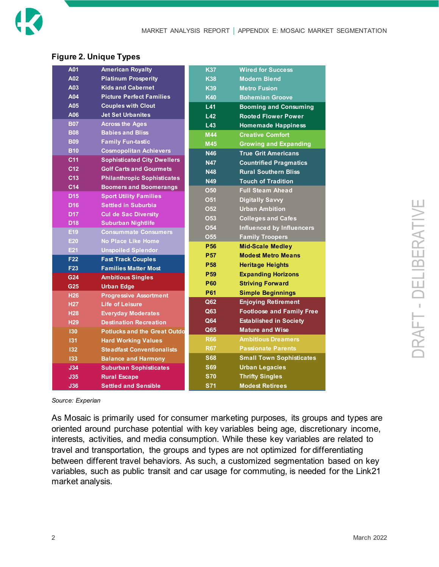#### <span id="page-5-0"></span>**Figure 2. Unique Types**

| A01             | <b>American Royalty</b>             | <b>K37</b>      | <b>Wired for Success</b>         |
|-----------------|-------------------------------------|-----------------|----------------------------------|
| A02             | <b>Platinum Prosperity</b>          | <b>K38</b>      | <b>Modern Blend</b>              |
| A03             | <b>Kids and Cabernet</b>            | <b>K39</b>      | <b>Metro Fusion</b>              |
| A04             | <b>Picture Perfect Families</b>     | <b>K40</b>      | <b>Bohemian Groove</b>           |
| A05             | <b>Couples with Clout</b>           | L41             | <b>Booming and Consuming</b>     |
| A06             | <b>Jet Set Urbanites</b>            | L42             | <b>Rooted Flower Power</b>       |
| <b>B07</b>      | <b>Across the Ages</b>              | L43             | <b>Homemade Happiness</b>        |
| <b>B08</b>      | <b>Babies and Bliss</b>             | M44             | <b>Creative Comfort</b>          |
| <b>B09</b>      | <b>Family Fun-tastic</b>            | <b>M45</b>      | <b>Growing and Expanding</b>     |
| <b>B10</b>      | <b>Cosmopolitan Achievers</b>       | <b>N46</b>      | <b>True Grit Americans</b>       |
| C <sub>11</sub> | <b>Sophisticated City Dwellers</b>  | <b>N47</b>      | <b>Countrified Pragmatics</b>    |
| C <sub>12</sub> | <b>Golf Carts and Gourmets</b>      | <b>N48</b>      | <b>Rural Southern Bliss</b>      |
| C <sub>13</sub> | <b>Philanthropic Sophisticates</b>  | <b>N49</b>      | <b>Touch of Tradition</b>        |
| C14             | <b>Boomers and Boomerangs</b>       | <b>O50</b>      | <b>Full Steam Ahead</b>          |
| <b>D15</b>      | <b>Sport Utility Families</b>       | <b>O51</b>      | <b>Digitally Savvy</b>           |
| D <sub>16</sub> | <b>Settled in Suburbia</b>          | <b>O52</b>      | <b>Urban Ambition</b>            |
| <b>D17</b>      | <b>Cul de Sac Diversity</b>         | <b>O53</b>      | <b>Colleges and Cafes</b>        |
| <b>D18</b>      | <b>Suburban Nightlife</b>           | <b>O54</b>      | <b>Influenced by Influencers</b> |
| E19             | <b>Consummate Consumers</b>         | <b>O55</b>      | <b>Family Troopers</b>           |
| E20             | <b>No Place Like Home</b>           | <b>P56</b>      | <b>Mid-Scale Medley</b>          |
| E21             | <b>Unspoiled Splendor</b>           | <b>P57</b>      | <b>Modest Metro Means</b>        |
| F <sub>22</sub> | <b>Fast Track Couples</b>           | <b>P58</b>      | <b>Heritage Heights</b>          |
| F <sub>23</sub> | <b>Families Matter Most</b>         | P <sub>59</sub> | <b>Expanding Horizons</b>        |
| G24             | <b>Ambitious Singles</b>            | <b>P60</b>      | <b>Striving Forward</b>          |
| G25             | <b>Urban Edge</b>                   | P61             |                                  |
| <b>H26</b>      | <b>Progressive Assortment</b>       |                 | <b>Simple Beginnings</b>         |
| <b>H27</b>      | Life of Leisure                     | Q62             | <b>Enjoying Retirement</b>       |
| <b>H28</b>      | <b>Everyday Moderates</b>           | Q63             | <b>Footloose and Family Free</b> |
| H <sub>29</sub> | <b>Destination Recreation</b>       | Q64             | <b>Established in Society</b>    |
| 130             | <b>Potlucks and the Great Outdo</b> | Q65             | <b>Mature and Wise</b>           |
| 131             | <b>Hard Working Values</b>          | <b>R66</b>      | <b>Ambitious Dreamers</b>        |
| 132             | <b>Steadfast Conventionalists</b>   | <b>R67</b>      | <b>Passionate Parents</b>        |
| 133             | <b>Balance and Harmony</b>          | <b>S68</b>      | <b>Small Town Sophisticates</b>  |
| J34             | <b>Suburban Sophisticates</b>       | <b>S69</b>      | <b>Urban Legacies</b>            |
| J35             | <b>Rural Escape</b>                 | <b>S70</b>      | <b>Thrifty Singles</b>           |
| <b>J36</b>      | <b>Settled and Sensible</b>         | <b>S71</b>      | <b>Modest Retirees</b>           |

*Source: Experian*

As Mosaic is primarily used for consumer marketing purposes, its groups and types are oriented around purchase potential with key variables being age, discretionary income, interests, activities, and media consumption. While these key variables are related to travel and transportation, the groups and types are not optimized for differentiating between different travel behaviors. As such, a customized segmentation based on key variables, such as public transit and car usage for commuting, is needed for the Link21 market analysis.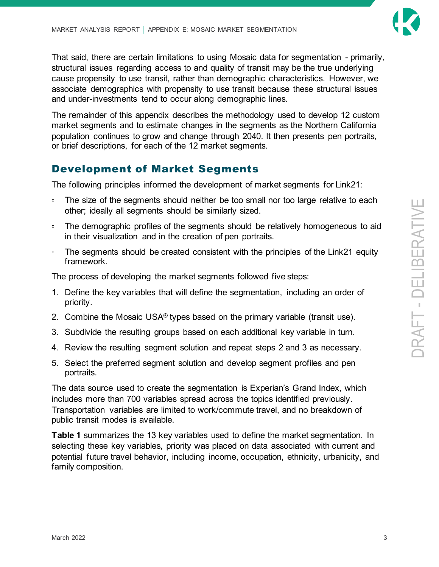

That said, there are certain limitations to using Mosaic data for segmentation - primarily, structural issues regarding access to and quality of transit may be the true underlying cause propensity to use transit, rather than demographic characteristics. However, we associate demographics with propensity to use transit because these structural issues and under-investments tend to occur along demographic lines.

The remainder of this appendix describes the methodology used to develop 12 custom market segments and to estimate changes in the segments as the Northern California population continues to grow and change through 2040. It then presents pen portraits, or brief descriptions, for each of the 12 market segments.

### Development of Market Segments

The following principles informed the development of market segments for Link21:

- The size of the segments should neither be too small nor too large relative to each other; ideally all segments should be similarly sized.
- The demographic profiles of the segments should be relatively homogeneous to aid in their visualization and in the creation of pen portraits.
- □ The segments should be created consistent with the principles of the Link21 equity framework.

The process of developing the market segments followed five steps:

- 1. Define the key variables that will define the segmentation, including an order of priority.
- 2. Combine the Mosaic USA<sup>®</sup> types based on the primary variable (transit use).
- 3. Subdivide the resulting groups based on each additional key variable in turn.
- 4. Review the resulting segment solution and repeat steps 2 and 3 as necessary.
- 5. Select the preferred segment solution and develop segment profiles and pen portraits.

The data source used to create the segmentation is Experian's Grand Index, which includes more than 700 variables spread across the topics identified previously. Transportation variables are limited to work/commute travel, and no breakdown of public transit modes is available.

**[Table 1](#page-7-0)** summarizes the 13 key variables used to define the market segmentation. In selecting these key variables, priority was placed on data associated with current and potential future travel behavior, including income, occupation, ethnicity, urbanicity, and family composition.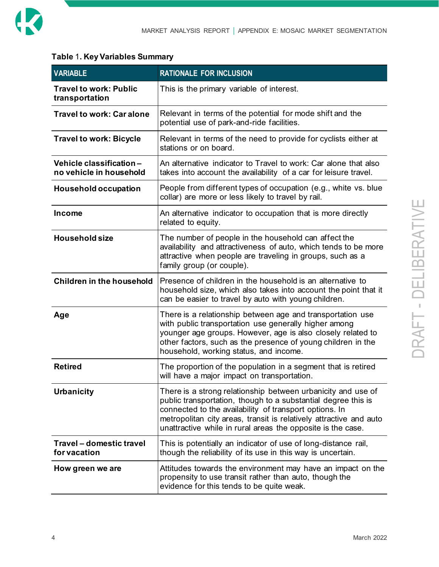

#### <span id="page-7-0"></span>**Table** 1**. Key Variables Summary**

| <b>VARIABLE</b>                                    | <b>RATIONALE FOR INCLUSION</b>                                                                                                                                                                                                                                                                                               |
|----------------------------------------------------|------------------------------------------------------------------------------------------------------------------------------------------------------------------------------------------------------------------------------------------------------------------------------------------------------------------------------|
| <b>Travel to work: Public</b><br>transportation    | This is the primary variable of interest.                                                                                                                                                                                                                                                                                    |
| <b>Travel to work: Car alone</b>                   | Relevant in terms of the potential for mode shift and the<br>potential use of park-and-ride facilities.                                                                                                                                                                                                                      |
| <b>Travel to work: Bicycle</b>                     | Relevant in terms of the need to provide for cyclists either at<br>stations or on board.                                                                                                                                                                                                                                     |
| Vehicle classification-<br>no vehicle in household | An alternative indicator to Travel to work: Car alone that also<br>takes into account the availability of a car for leisure travel.                                                                                                                                                                                          |
| Household occupation                               | People from different types of occupation (e.g., white vs. blue<br>collar) are more or less likely to travel by rail.                                                                                                                                                                                                        |
| <b>Income</b>                                      | An alternative indicator to occupation that is more directly<br>related to equity.                                                                                                                                                                                                                                           |
| <b>Household size</b>                              | The number of people in the household can affect the<br>availability and attractiveness of auto, which tends to be more<br>attractive when people are traveling in groups, such as a<br>family group (or couple).                                                                                                            |
| <b>Children in the household</b>                   | Presence of children in the household is an alternative to<br>household size, which also takes into account the point that it<br>can be easier to travel by auto with young children.                                                                                                                                        |
| Age                                                | There is a relationship between age and transportation use<br>with public transportation use generally higher among<br>younger age groups. However, age is also closely related to<br>other factors, such as the presence of young children in the<br>household, working status, and income.                                 |
| <b>Retired</b>                                     | The proportion of the population in a segment that is retired<br>will have a major impact on transportation.                                                                                                                                                                                                                 |
| <b>Urbanicity</b>                                  | There is a strong relationship between urbanicity and use of<br>public transportation, though to a substantial degree this is<br>connected to the availability of transport options. In<br>metropolitan city areas, transit is relatively attractive and auto<br>unattractive while in rural areas the opposite is the case. |
| Travel - domestic travel<br>for vacation           | This is potentially an indicator of use of long-distance rail,<br>though the reliability of its use in this way is uncertain.                                                                                                                                                                                                |
| How green we are                                   | Attitudes towards the environment may have an impact on the<br>propensity to use transit rather than auto, though the<br>evidence for this tends to be quite weak.                                                                                                                                                           |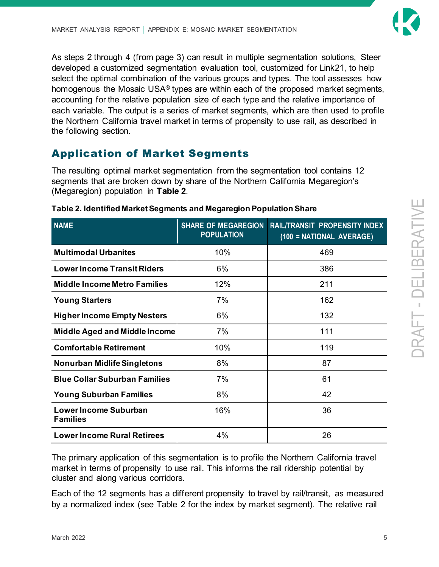DRAFT - DELI

BERATIVE

As steps 2 through 4 (from page 3) can result in multiple segmentation solutions, Steer developed a customized segmentation evaluation tool, customized for Link21, to help select the optimal combination of the various groups and types. The tool assesses how homogenous the Mosaic USA® types are within each of the proposed market segments, accounting for the relative population size of each type and the relative importance of each variable. The output is a series of market segments, which are then used to profile the Northern California travel market in terms of propensity to use rail, as described in the following section.

## Application of Market Segments

The resulting optimal market segmentation from the segmentation tool contains 12 segments that are broken down by share of the Northern California Megaregion's (Megaregion) population in **[Table 2](#page-8-0)**.

| <b>NAME</b>                              | <b>SHARE OF MEGAREGION</b><br><b>POPULATION</b> | <b>RAIL/TRANSIT PROPENSITY INDEX</b><br>(100 = NATIONAL AVERAGE) |
|------------------------------------------|-------------------------------------------------|------------------------------------------------------------------|
| <b>Multimodal Urbanites</b>              | 10%                                             | 469                                                              |
| <b>Lower Income Transit Riders</b>       | 6%                                              | 386                                                              |
| <b>Middle Income Metro Families</b>      | 12%                                             | 211                                                              |
| <b>Young Starters</b>                    | 7%                                              | 162                                                              |
| <b>Higher Income Empty Nesters</b>       | 6%                                              | 132                                                              |
| <b>Middle Aged and Middle Income</b>     | 7%                                              | 111                                                              |
| <b>Comfortable Retirement</b>            | 10%                                             | 119                                                              |
| <b>Nonurban Midlife Singletons</b>       | 8%                                              | 87                                                               |
| <b>Blue Collar Suburban Families</b>     | 7%                                              | 61                                                               |
| <b>Young Suburban Families</b>           | 8%                                              | 42                                                               |
| Lower Income Suburban<br><b>Families</b> | 16%                                             | 36                                                               |
| <b>Lower Income Rural Retirees</b>       | 4%                                              | 26                                                               |

#### <span id="page-8-0"></span>**Table 2. Identified Market Segments and Megaregion Population Share**

The primary application of this segmentation is to profile the Northern California travel market in terms of propensity to use rail. This informs the rail ridership potential by cluster and along various corridors.

Each of the 12 segments has a different propensity to travel by rail/transit, as measured by a normalized index (see [Table 2](#page-8-0) for the index by market segment). The relative rail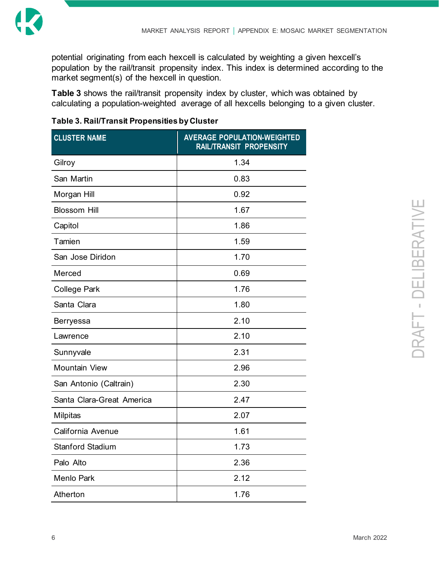

potential originating from each hexcell is calculated by weighting a given hexcell's population by the rail/transit propensity index. This index is determined according to the market segment(s) of the hexcell in question.

**[Table 3](#page-9-0)** shows the rail/transit propensity index by cluster, which was obtained by calculating a population-weighted average of all hexcells belonging to a given cluster.

<span id="page-9-0"></span>

| <b>CLUSTER NAME</b>       | <b>AVERAGE POPULATION-WEIGHTED</b><br><b>RAIL/TRANSIT PROPENSITY</b> |  |  |
|---------------------------|----------------------------------------------------------------------|--|--|
| Gilroy                    | 1.34                                                                 |  |  |
| San Martin                | 0.83                                                                 |  |  |
| Morgan Hill               | 0.92                                                                 |  |  |
| <b>Blossom Hill</b>       | 1.67                                                                 |  |  |
| Capitol                   | 1.86                                                                 |  |  |
| Tamien                    | 1.59                                                                 |  |  |
| San Jose Diridon          | 1.70                                                                 |  |  |
| Merced                    | 0.69                                                                 |  |  |
| <b>College Park</b>       | 1.76                                                                 |  |  |
| Santa Clara               | 1.80                                                                 |  |  |
| <b>Berryessa</b>          | 2.10                                                                 |  |  |
| Lawrence                  | 2.10                                                                 |  |  |
| Sunnyvale                 | 2.31                                                                 |  |  |
| <b>Mountain View</b>      | 2.96                                                                 |  |  |
| San Antonio (Caltrain)    | 2.30                                                                 |  |  |
| Santa Clara-Great America | 2.47                                                                 |  |  |
| <b>Milpitas</b>           | 2.07                                                                 |  |  |
| California Avenue         | 1.61                                                                 |  |  |
| <b>Stanford Stadium</b>   | 1.73                                                                 |  |  |
| Palo Alto                 | 2.36                                                                 |  |  |
| <b>Menlo Park</b>         | 2.12                                                                 |  |  |
| Atherton                  | 1.76                                                                 |  |  |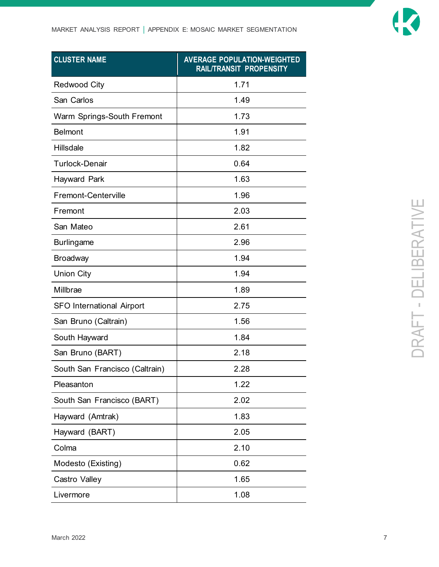

| <b>CLUSTER NAME</b>              | <b>AVERAGE POPULATION-WEIGHTED</b><br><b>RAIL/TRANSIT PROPENSITY</b> |  |  |
|----------------------------------|----------------------------------------------------------------------|--|--|
| <b>Redwood City</b>              | 1.71                                                                 |  |  |
| San Carlos                       | 1.49                                                                 |  |  |
| Warm Springs-South Fremont       | 1.73                                                                 |  |  |
| <b>Belmont</b>                   | 1.91                                                                 |  |  |
| Hillsdale                        | 1.82                                                                 |  |  |
| <b>Turlock-Denair</b>            | 0.64                                                                 |  |  |
| Hayward Park                     | 1.63                                                                 |  |  |
| <b>Fremont-Centerville</b>       | 1.96                                                                 |  |  |
| Fremont                          | 2.03                                                                 |  |  |
| San Mateo                        | 2.61                                                                 |  |  |
| <b>Burlingame</b>                | 2.96                                                                 |  |  |
| <b>Broadway</b>                  | 1.94                                                                 |  |  |
| <b>Union City</b>                | 1.94                                                                 |  |  |
| Millbrae                         | 1.89                                                                 |  |  |
| <b>SFO International Airport</b> | 2.75                                                                 |  |  |
| San Bruno (Caltrain)             | 1.56                                                                 |  |  |
| South Hayward                    | 1.84                                                                 |  |  |
| San Bruno (BART)                 | 2.18                                                                 |  |  |
| South San Francisco (Caltrain)   | 2.28                                                                 |  |  |
| Pleasanton                       | 1.22                                                                 |  |  |
| South San Francisco (BART)       | 2.02                                                                 |  |  |
| Hayward (Amtrak)                 | 1.83                                                                 |  |  |
| Hayward (BART)                   | 2.05                                                                 |  |  |
| Colma                            | 2.10                                                                 |  |  |
| Modesto (Existing)               | 0.62                                                                 |  |  |
| Castro Valley                    | 1.65                                                                 |  |  |
| Livermore                        | 1.08                                                                 |  |  |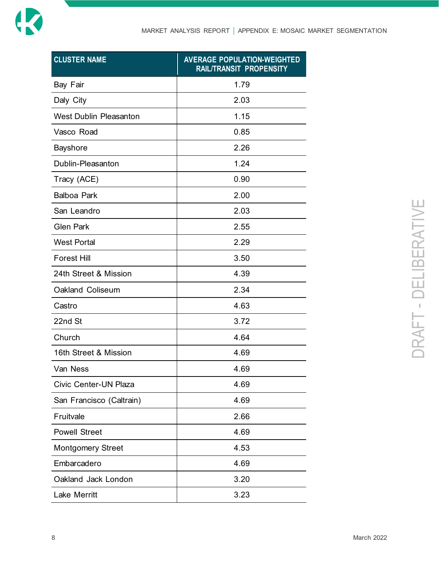

| <b>CLUSTER NAME</b>           | <b>AVERAGE POPULATION-WEIGHTED</b><br>RAIL/TRANSIT PROPENSITY |  |  |
|-------------------------------|---------------------------------------------------------------|--|--|
| Bay Fair                      | 1.79                                                          |  |  |
| Daly City                     | 2.03                                                          |  |  |
| <b>West Dublin Pleasanton</b> | 1.15                                                          |  |  |
| Vasco Road                    | 0.85                                                          |  |  |
| <b>Bayshore</b>               | 2.26                                                          |  |  |
| Dublin-Pleasanton             | 1.24                                                          |  |  |
| Tracy (ACE)                   | 0.90                                                          |  |  |
| <b>Balboa Park</b>            | 2.00                                                          |  |  |
| San Leandro                   | 2.03                                                          |  |  |
| <b>Glen Park</b>              | 2.55                                                          |  |  |
| <b>West Portal</b>            | 2.29                                                          |  |  |
| <b>Forest Hill</b>            | 3.50                                                          |  |  |
| 24th Street & Mission         | 4.39                                                          |  |  |
| Oakland Coliseum              | 2.34                                                          |  |  |
| Castro                        | 4.63                                                          |  |  |
| 22nd St                       | 3.72                                                          |  |  |
| Church                        | 4.64                                                          |  |  |
| 16th Street & Mission         | 4.69                                                          |  |  |
| Van Ness                      | 4.69                                                          |  |  |
| Civic Center-UN Plaza         | 4.69                                                          |  |  |
| San Francisco (Caltrain)      | 4.69                                                          |  |  |
| Fruitvale                     | 2.66                                                          |  |  |
| <b>Powell Street</b>          | 4.69                                                          |  |  |
| <b>Montgomery Street</b>      | 4.53                                                          |  |  |
| Embarcadero                   | 4.69                                                          |  |  |
| Oakland Jack London           | 3.20                                                          |  |  |
| <b>Lake Merritt</b>           | 3.23                                                          |  |  |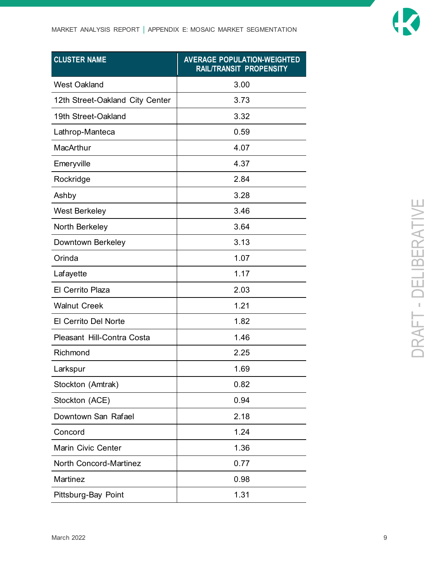

| <b>CLUSTER NAME</b>             | <b>AVERAGE POPULATION-WEIGHTED</b><br><b>RAIL/TRANSIT PROPENSITY</b> |  |  |
|---------------------------------|----------------------------------------------------------------------|--|--|
| <b>West Oakland</b>             | 3.00                                                                 |  |  |
| 12th Street-Oakland City Center | 3.73                                                                 |  |  |
| 19th Street-Oakland             | 3.32                                                                 |  |  |
| Lathrop-Manteca                 | 0.59                                                                 |  |  |
| MacArthur                       | 4.07                                                                 |  |  |
| Emeryville                      | 4.37                                                                 |  |  |
| Rockridge                       | 2.84                                                                 |  |  |
| Ashby                           | 3.28                                                                 |  |  |
| <b>West Berkeley</b>            | 3.46                                                                 |  |  |
| North Berkeley                  | 3.64                                                                 |  |  |
| Downtown Berkeley               | 3.13                                                                 |  |  |
| Orinda                          | 1.07                                                                 |  |  |
| Lafayette                       | 1.17                                                                 |  |  |
| El Cerrito Plaza                | 2.03                                                                 |  |  |
| <b>Walnut Creek</b>             | 1.21                                                                 |  |  |
| El Cerrito Del Norte            | 1.82                                                                 |  |  |
| Pleasant Hill-Contra Costa      | 1.46                                                                 |  |  |
| Richmond                        | 2.25                                                                 |  |  |
| Larkspur                        | 1.69                                                                 |  |  |
| Stockton (Amtrak)               | 0.82                                                                 |  |  |
| Stockton (ACE)                  | 0.94                                                                 |  |  |
| Downtown San Rafael             | 2.18                                                                 |  |  |
| Concord                         | 1.24                                                                 |  |  |
| Marin Civic Center              | 1.36                                                                 |  |  |
| <b>North Concord-Martinez</b>   | 0.77                                                                 |  |  |
| Martinez                        | 0.98                                                                 |  |  |
| Pittsburg-Bay Point             | 1.31                                                                 |  |  |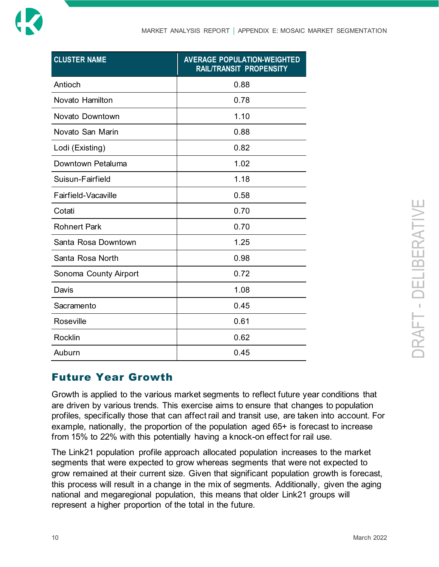

| <b>CLUSTER NAME</b>   | <b>AVERAGE POPULATION-WEIGHTED</b><br>RAIL/TRANSIT PROPENSITY |  |  |
|-----------------------|---------------------------------------------------------------|--|--|
| Antioch               | 0.88                                                          |  |  |
| Novato Hamilton       | 0.78                                                          |  |  |
| Novato Downtown       | 1.10                                                          |  |  |
| Novato San Marin      | 0.88                                                          |  |  |
| Lodi (Existing)       | 0.82                                                          |  |  |
| Downtown Petaluma     | 1.02                                                          |  |  |
| Suisun-Fairfield      | 1.18                                                          |  |  |
| Fairfield-Vacaville   | 0.58                                                          |  |  |
| Cotati                | 0.70                                                          |  |  |
| <b>Rohnert Park</b>   | 0.70                                                          |  |  |
| Santa Rosa Downtown   | 1.25                                                          |  |  |
| Santa Rosa North      | 0.98                                                          |  |  |
| Sonoma County Airport | 0.72                                                          |  |  |
| Davis                 | 1.08                                                          |  |  |
| Sacramento            | 0.45                                                          |  |  |
| Roseville             | 0.61                                                          |  |  |
| <b>Rocklin</b>        | 0.62                                                          |  |  |
| Auburn                | 0.45                                                          |  |  |

### Future Year Growth

Growth is applied to the various market segments to reflect future year conditions that are driven by various trends. This exercise aims to ensure that changes to population profiles, specifically those that can affect rail and transit use, are taken into account. For example, nationally, the proportion of the population aged 65+ is forecast to increase from 15% to 22% with this potentially having a knock-on effect for rail use.

The Link21 population profile approach allocated population increases to the market segments that were expected to grow whereas segments that were not expected to grow remained at their current size. Given that significant population growth is forecast, this process will result in a change in the mix of segments. Additionally, given the aging national and megaregional population, this means that older Link21 groups will represent a higher proportion of the total in the future.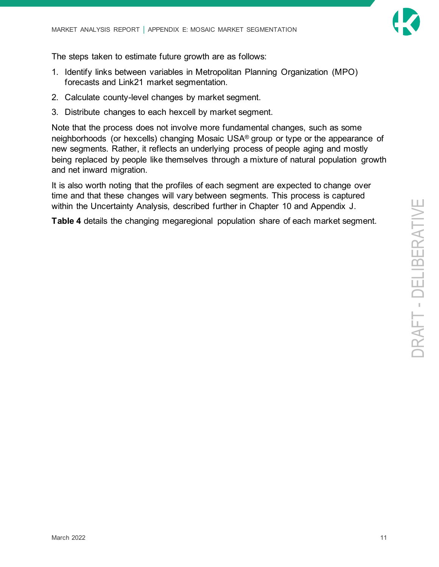

The steps taken to estimate future growth are as follows:

- 1. Identify links between variables in Metropolitan Planning Organization (MPO) forecasts and Link21 market segmentation.
- 2. Calculate county-level changes by market segment.
- 3. Distribute changes to each hexcell by market segment.

Note that the process does not involve more fundamental changes, such as some neighborhoods (or hexcells) changing Mosaic USA® group or type or the appearance of new segments. Rather, it reflects an underlying process of people aging and mostly being replaced by people like themselves through a mixture of natural population growth and net inward migration.

It is also worth noting that the profiles of each segment are expected to change over time and that these changes will vary between segments. This process is captured within the Uncertainty Analysis, described further in Chapter 10 and Appendix J.

**[Table 4](#page-15-0)** details the changing megaregional population share of each market segment.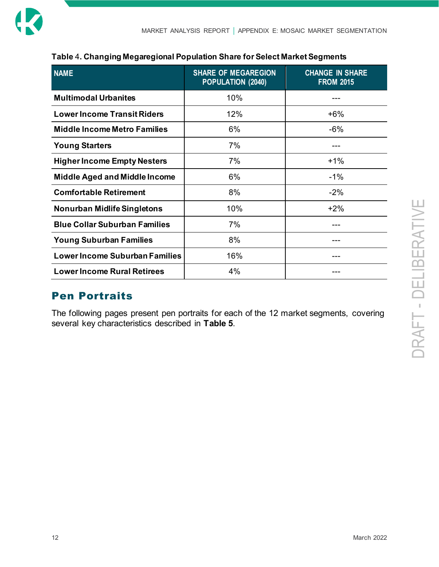| <b>NAME</b>                           | <b>SHARE OF MEGAREGION</b><br>POPULATION (2040) | <b>CHANGE IN SHARE</b><br><b>FROM 2015</b> |
|---------------------------------------|-------------------------------------------------|--------------------------------------------|
| <b>Multimodal Urbanites</b>           | 10%                                             |                                            |
| <b>Lower Income Transit Riders</b>    | 12%                                             | $+6%$                                      |
| <b>Middle Income Metro Families</b>   | 6%                                              | $-6%$                                      |
| <b>Young Starters</b>                 | 7%                                              |                                            |
| <b>Higher Income Empty Nesters</b>    | 7%                                              | $+1%$                                      |
| <b>Middle Aged and Middle Income</b>  | $6\%$                                           | $-1%$                                      |
| <b>Comfortable Retirement</b>         | 8%                                              | $-2%$                                      |
| <b>Nonurban Midlife Singletons</b>    | 10%                                             | $+2%$                                      |
| <b>Blue Collar Suburban Families</b>  | 7%                                              |                                            |
| <b>Young Suburban Families</b>        | 8%                                              |                                            |
| <b>Lower Income Suburban Families</b> | 16%                                             |                                            |
| <b>Lower Income Rural Retirees</b>    | 4%                                              |                                            |

#### <span id="page-15-0"></span>**Table** 4**. Changing Megaregional Population Share for Select Market Segments**

### Pen Portraits

The following pages present pen portraits for each of the 12 market segments, covering several key characteristics described in **[Table 5](#page-16-0)**.